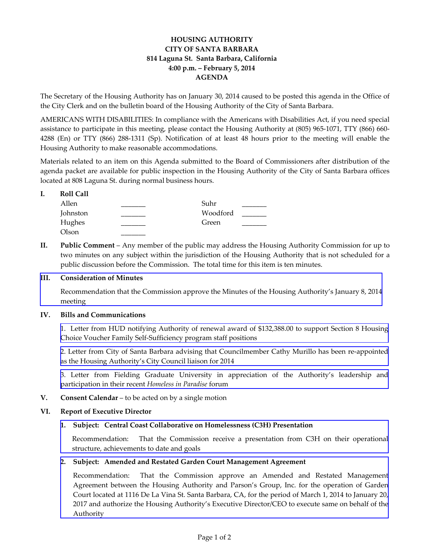# **HOUSING AUTHORITY CITY OF SANTA BARBARA 814 Laguna St. Santa Barbara, California 4:00 p.m. – February 5, 2014 AGENDA**

The Secretary of the Housing Authority has on January 30, 2014 caused to be posted this agenda in the Office of the City Clerk and on the bulletin board of the Housing Authority of the City of Santa Barbara.

AMERICANS WITH DISABILITIES: In compliance with the Americans with Disabilities Act, if you need special assistance to participate in this meeting, please contact the Housing Authority at (805) 965-1071, TTY (866) 660- 4288 (En) or TTY (866) 288-1311 (Sp). Notification of at least 48 hours prior to the meeting will enable the Housing Authority to make reasonable accommodations.

Materials related to an item on this Agenda submitted to the Board of Commissioners after distribution of the agenda packet are available for public inspection in the Housing Authority of the City of Santa Barbara offices located at 808 Laguna St. during normal business hours.

| <b>Roll Call</b> |          |
|------------------|----------|
| Allen            | Suhr     |
| Johnston         | Woodford |
| Hughes           | Green    |
| Olson            |          |

**II. Public Comment** – Any member of the public may address the Housing Authority Commission for up to two minutes on any subject within the jurisdiction of the Housing Authority that is not scheduled for a public discussion before the Commission. The total time for this item is ten minutes.

## **III. Consideration of Minutes**

[Recommendation that the Commission approve the Minutes of the Housing Authority's January 8, 2014](http://www.hacsb.org/Library/agendas_minutes/2014/agenda_packet/Agenda_Packet_2014_02_05/item_III_I_2014_02_05.pdf)  meeting

#### **IV. Bills and Communications**

[1. Letter from HUD notifying Authority of renewal award of \\$132,388.00 to support Section 8 Housing](http://www.hacsb.org/Library/agendas_minutes/2014/agenda_packet/Agenda_Packet_2014_02_05/item_IV_I_2014_02_05.pdf) Choice Voucher Family Self-Sufficiency program staff positions

[2. Letter from City of Santa Barbara advising that Councilmember Cathy Murillo has been re-appointed](http://www.hacsb.org/Library/agendas_minutes/2014/agenda_packet/Agenda_Packet_2014_02_05/item_IV_II_2014_02_05.pdf) as the Housing Authority's City Council liaison for 2014

[3. Letter from Fielding Graduate University in appreciation of the Authority's leadership and](http://www.hacsb.org/Library/agendas_minutes/2014/agenda_packet/Agenda_Packet_2014_02_05/item_IV_III_2014_02_05.pdf) participation in their recent *Homeless in Paradise* forum

**V. Consent Calendar** – to be acted on by a single motion

# **VI. Report of Executive Director**

# **1. [Subject: Central Coast Collaborative on Homelessness \(C3H\) Presentation](http://www.hacsb.org/Library/agendas_minutes/2014/agenda_packet/Agenda_Packet_2014_02_05/item_VI_I_2014_02_05.pdf)**

Recommendation: That the Commission receive a presentation from C3H on their operational structure, achievements to date and goals

#### **2. Subject: Amended and Restated Garden Court Management Agreement**

[Recommendation: That the Commission approve an Amended and Restated Management](http://www.hacsb.org/Library/agendas_minutes/2014/agenda_packet/Agenda_Packet_2014_02_05/item_VI_II_2014_02_05.pdf)  Agreement between the Housing Authority and Parson's Group, Inc. for the operation of Garden Court located at 1116 De La Vina St. Santa Barbara, CA, for the period of March 1, 2014 to January 20, 2017 and authorize the Housing Authority's Executive Director/CEO to execute same on behalf of the Authority